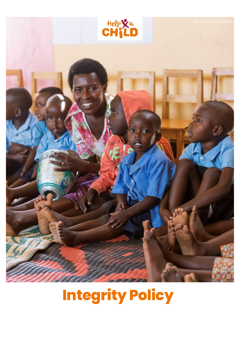

# **Integrity Policy**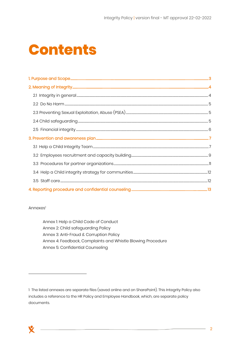## **Contents**

#### Annexes<sup>1</sup>

Annex 1: Help a Child Code of Conduct Annex 2: Child safeguarding Policy Annex 3: Anti-Fraud & Corruption Policy Annex 4: Feedback, Complaints and Whistle Blowing Procedure Annex 5: Confidential Counseling

<sup>1</sup> The listed annexes are separate files (saved online and on SharePoint). This Integrity Policy also includes a reference to the HR Policy and Employee Handbook, which, are separate policy documents.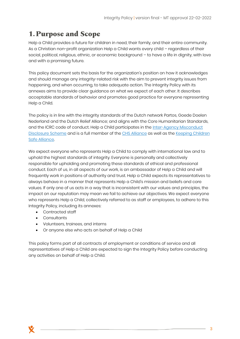## <span id="page-2-0"></span>**1.Purpose and Scope**

Help a Child provides a future for children in need, their family, and their entire community. As a Christian non-profit organization Help a Child wants every child - regardless of their social, political, religious, ethnic, or economic background – to have a life in dignity, with love and with a promising future.

This policy document sets the basis for the organization's position on how it acknowledges and should manage any integrity-related risk with the aim to prevent integrity issues from happening, and when occurring, to take adequate action. The Integrity Policy with its annexes aims to provide clear guidance on what we expect of each other. It describes acceptable standards of behavior and promotes good practice for everyone representing Help a Child.

The policy is in line with the integrity standards of the Dutch network Partos, Goede Doelen Nederland and the Dutch Relief Alliance; and aligns with the Core Humanitarian Standards, and the ICRC code of conduct. Help a Child participates in the [Inter-Agency Misconduct](https://www.schr.info/the-misconduct-disclosure-scheme)  [Disclosure Scheme](https://www.schr.info/the-misconduct-disclosure-scheme) and is a full member of the [CHS Alliance](https://www.chsalliance.org/) as well as the [Keeping Children](https://www.keepingchildrensafe.global/)  [Safe Alliance.](https://www.keepingchildrensafe.global/)

We expect everyone who represents Help a Child to comply with international law and to uphold the highest standards of integrity. Everyone is personally and collectively responsible for upholding and promoting these standards of ethical and professional conduct. Each of us, in all aspects of our work, is an ambassador of Help a Child and will frequently work in positions of authority and trust. Help a Child expects its representatives to always behave in a manner that represents Help a Child's mission and beliefs and core values. If only one of us acts in a way that is inconsistent with our values and principles, the impact on our reputation may mean we fail to achieve our objectives. We expect everyone who represents Help a Child, collectively referred to as staff or employees, to adhere to this Integrity Policy, including its annexes:

- Contracted staff
- Consultants
- Volunteers, trainees, and interns
- Or anyone else who acts on behalf of Help a Child

This policy forms part of all contracts of employment or conditions of service and all representatives of Help a Child are expected to sign the Integrity Policy before conducting any activities on behalf of Help a Child.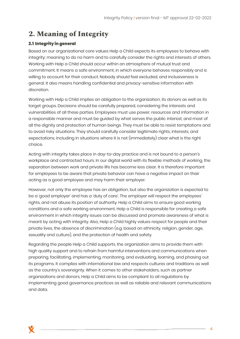## <span id="page-3-0"></span>**2. Meaning of Integrity**

#### <span id="page-3-1"></span>2.1 Integrity in general

Based on our organizational core values Help a Child expects its employees to behave with integrity; meaning to do no harm and to carefully consider the rights and interests of others. Working with Help a Child should occur within an atmosphere of mutual trust and commitment. It means a safe environment, in which everyone behaves responsibly and is willing to account for their conduct. Nobody should feel excluded, and inclusiveness is general. It also means handling confidential and privacy-sensitive information with discretion.

Working with Help a Child implies an obligation to the organization, its donors as well as its target groups. Decisions should be carefully prepared, considering the interests and vulnerabilities of all these parties. Employees must use power, resources and information in a responsible manner and must be guided by what serves the public interest, and most of all the dignity and protection of human beings. They must be able to resist temptations and to avoid risky situations. They should carefully consider legitimate rights, interests, and expectations, including in situations where it is not (immediately) clear what is the right choice.

Acting with integrity takes place in day-to-day practice and is not bound to a person's workplace and contracted hours. In our digital world with its flexible methods of working, the separation between work and private life has become less clear. It is therefore important for employees to be aware that private behavior can have a negative impact on their acting as a good employee and may harm their employer.

However, not only the employee has an obligation, but also the organization is expected to be a 'good employer' and has a 'duty of care'. The employer will respect the employees' rights, and not abuse its position of authority. Help a Child aims to ensure good working conditions and a safe working environment. Help a Child is responsible for creating a safe environment in which integrity issues can be discussed and promote awareness of what is meant by acting with integrity. Also, Help a Child highly values respect for people and their private lives, the absence of discrimination (e.g. based on ethnicity, religion, gender, age, sexuality and culture), and the protection of health and safety.

Regarding the people Help a Child supports, the organization aims to provide them with high quality support and to refrain from harmful interventions and communications when preparing, facilitating, implementing, monitoring, and evaluating, learning, and phasing out its programs. It complies with international law and respects cultures and traditions as well as the country's sovereignty. When it comes to other stakeholders, such as partner organizations and donors, Help a Child aims to be compliant to all regulations by implementing good governance practices as well as reliable and relevant communications and data.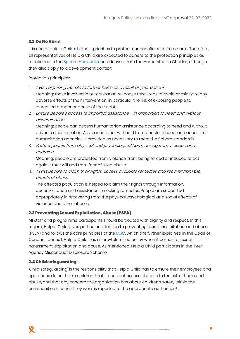#### <span id="page-4-0"></span>2.2 Do No Harm

It is one of Help a Child's highest priorities to protect our beneficiaries from harm. Therefore, all representatives of Help a Child are expected to adhere to the protection principles as mentioned in the [Sphere Handbook](https://handbook.spherestandards.org/en/sphere/#ch004_002) and derived from the Humanitarian Charter, although they also apply to a development context.

Protection principles:

- 1. Avoid exposing people to further harm as a result of your actions. Meaning: those involved in humanitarian response take steps to avoid or minimize any adverse effects of their intervention, in particular the risk of exposing people to increased danger or abuse of their rights.
- 2. Ensure people's access to impartial assistance in proportion to need and without discrimination.

Meaning: people can access humanitarian assistance according to need and without adverse discrimination. Assistance is not withheld from people in need, and access for humanitarian agencies is provided as necessary to meet the Sphere standards.

3. Protect people from physical and psychological harm arising from violence and coercion.

Meaning: people are protected from violence, from being forced or induced to act against their will and from fear of such abuse.

4. Assist people to claim their rights, access available remedies and recover from the effects of abuse.

The affected population is helped to claim their rights through information, documentation and assistance in seeking remedies. People are supported appropriately in recovering from the physical, psychological and social effects of violence and other abuses.

#### <span id="page-4-1"></span>2.3 Preventing Sexual Exploitation, Abuse (PSEA)

All staff and programme participants should be treated with dignity and respect. In this regard, Help a Child gives particular attention to preventing sexual exploitation, and abuse (PSEA) and follows the core principles of the [IASC,](https://psea.interagencystandingcommittee.org/update/iasc-six-core-principles) which are further explained in the Code of Conduct, annex 1. Help a Child has a zero-tolerance policy when it comes to sexual harassment, exploitation and abuse. As mentioned, Help a Child participates in the Inter-Agency Misconduct Disclosure Scheme.

#### <span id="page-4-2"></span>**2.4 Child safeguarding**

'Child safeguarding' is the responsibility that Help a Child has to ensure their employees and operations do not harm children; that it does not expose children to the risk of harm and abuse, and that any concern the organization has about children's safety within the communities in which they work, is reported to the appropriate authorities<sup>2</sup>. .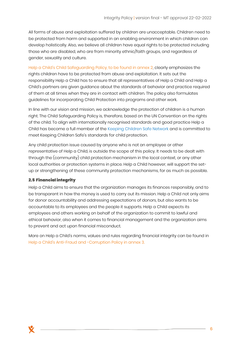All forms of abuse and exploitation suffered by children are unacceptable. Children need to be protected from harm and supported in an enabling environment in which children can develop holistically. Also, we believe all children have equal rights to be protected including those who are disabled, who are from minority ethnic/faith groups, and regardless of gender, sexuality and culture.

Help a Child's Child Safeguarding Policy, to be found in annex 2, clearly emphasizes the rights children have to be protected from abuse and exploitation. It sets out the responsibility Help a Child has to ensure that all representatives of Help a Child and Help a Child's partners are given guidance about the standards of behavior and practice required of them at all times when they are in contact with children. The policy also formulates guidelines for incorporating Child Protection into programs and other work.

In line with our vision and mission, we acknowledge the protection of children is a human right. The Child Safeguarding Policy is, therefore, based on the UN Convention on the rights of the child. To align with internationally recognised standards and good practice Help a Child has become a full member of the [Keeping Children Safe Network](https://www.keepingchildrensafe.global/) and is committed to meet Keeping Children Safe's standards for child protection.

Any child protection issue caused by anyone who is not an employee or other representative of Help a Child, is outside the scope of this policy. It needs to be dealt with through the (community) child protection mechanism in the local context, or any other local authorities or protection systems in place. Help a Child however, will support the setup or strengthening of these community protection mechanisms, for as much as possible.

#### <span id="page-5-0"></span>**2.5 Financial integrity**

Help a Child aims to ensure that the organization manages its finances responsibly, and to be transparent in how the money is used to carry out its mission. Help a Child not only aims for donor accountability and addressing expectations of donors, but also wants to be accountable to its employees and the people it supports. Help a Child expects its employees and others working on behalf of the organization to commit to lawful and ethical behavior, also when it comes to financial management and the organization aims to prevent and act upon financial misconduct.

More on Help a Child's norms, values and rules regarding financial integrity can be found in Help a Child's Anti-Fraud and -Corruption Policy in annex 3.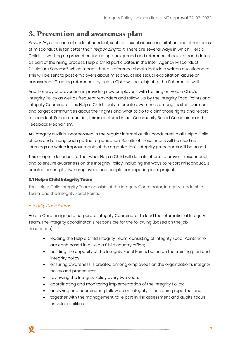### <span id="page-6-0"></span>**3. Prevention and awareness plan**

Preventing a breach of code of conduct, such as sexual abuse, exploitation and other forms of misconduct, is far better than *responding* to it. There are several ways in which Help a Child's is working on prevention, including background and reference checks of candidates, as part of the hiring process. Help a Child participates in the Inter-Agency Misconduct Disclosure Scheme<sup>3</sup> , which means that all reference checks include a written questionnaire. This will be sent to past employers about misconduct like sexual exploitation, abuse or harassment. Granting references by Help a Child will be subject to the Scheme as well.

Another way of prevention is providing new employees with training on Help a Child's Integrity Policy as well as frequent reminders and follow-up by the Integrity Focal Points and Integrity Coordinator. It is Help a Child's duty to create awareness among its staff, partners, and target communities about their rights and what to do to claim those rights and report misconduct. For communities, this is captured in our Community Based Complaints and Feedback Mechanism.

An integrity audit is incorporated in the regular internal audits conducted in all Help a Child offices and among each partner organization. Results of these audits will be used as learnings on which improvements of the organization's integrity procedures will be based.

This chapter describes further what Help a Child will do in its efforts to prevent misconduct and to ensure awareness on the Integrity Policy, including the ways to report misconduct, is created among its own employees and people participating in its projects.

#### <span id="page-6-1"></span>3.1 Help a Child Integrity Team

The Help a Child Integrity Team consists of the Integrity Coordinator, Integrity Leadership Team, and the Integrity Focal Points.

#### Integrity Coordinator

Help a Child assigned a corporate Integrity Coordinator to lead the international Integrity Team. The integrity coordinator is responsible for the following (based on the job description):

- leading the Help a Child Integrity Team, consisting of Integrity Focal Points who are each based in a Help a Child country office;
- building the capacity of the Integrity Focal Points based on the training plan and integrity policy;
- ensuring awareness is created among employees on the organization's integrity policy and procedures;
- reviewing the Integrity Policy every two years;
- coordinating and monitoring implementation of the Integrity Policy;
- analyzing and coordinating follow up on integrity issues being reported; and
- together with the management, take part in risk assessment and audits, focus on vulnerabilities.

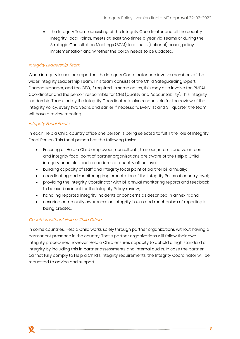• the Integrity Team, consisting of the Integrity Coordinator and all the country Integrity Focal Points, meets at least two times a year via Teams or during the Strategic Consultation Meetings (SCM) to discuss (fictional) cases, policy implementation and whether the policy needs to be updated.

#### Integrity Leadership Team

When integrity issues are reported, the Integrity Coordinator can involve members of the wider Integrity Leadership Team. This team consists of the Child Safeguarding Expert, Finance Manager, and the CEO, if required. In some cases, this may also involve the PMEAL Coordinator and the person responsible for CHS (Quality and Accountability). This Integrity Leadership Team, led by the Integrity Coordinator, is also responsible for the review of the Integrity Policy, every two years, and earlier if necessary. Every 1st and 3rd quarter the team will have a review meeting.

#### Integrity Focal Points

In each Help a Child country office one person is being selected to fulfill the role of Integrity Focal Person. This focal person has the following tasks:

- Ensuring all Help a Child employees, consultants, trainees, interns and volunteers and integrity focal point of partner organizations are aware of the Help a Child integrity principles and procedures at country office level;
- building capacity of staff and integrity focal point of partner bi-annually;
- coordinating and monitoring implementation of the Integrity Policy at country level;
- providing the Integrity Coordinator with bi-annual monitoring reports and feedback to be used as input for the Integrity Policy review;
- handling reported integrity incidents or concerns as described in annex 4; and
- ensuring community awareness on integrity issues and mechanism of reporting is being created.

#### Countries without Help a Child Office

<span id="page-7-0"></span>In some countries, Help a Child works solely through partner organizations without having a permanent presence in the country. These partner organizations will follow their own integrity procedures, however, Help a Child ensures capacity to uphold a high standard of integrity by including this in partner assessments and internal audits. In case the partner cannot fully comply to Help a Child's Integrity requirements, the Integrity Coordinator will be requested to advice and support.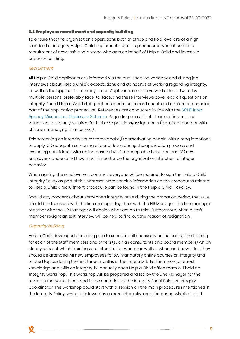#### 3.2 Employees recruitment and capacity building

To ensure that the organization's operations both at office and field level are of a high standard of integrity, Help a Child implements specific procedures when it comes to recruitment of new staff and anyone who acts on behalf of Help a Child and invests in capacity building.

#### Recruitment

All Help a Child applicants are informed via the published job vacancy and during job interviews about Help a Child's expectations and standards of working regarding integrity, as well as the applicant screening steps. Applicants are interviewed at least twice, by multiple persons, preferably face-to-face, and these interviews cover explicit questions on integrity. For all Help a Child staff positions a criminal record check and a reference check is part of the application procedure. References are conducted in line with the [SCHR Inter-](https://www.schr.info/the-misconduct-disclosure-scheme)[Agency Misconduct Disclosure Scheme.](https://www.schr.info/the-misconduct-disclosure-scheme) Regarding consultants, trainees, interns and volunteers this is only required for high-risk positions/assignments (e.g. direct contact with children, managing finance, etc.).

This screening on integrity serves three goals: (1) demotivating people with wrong intentions to apply; (2) adequate screening of candidates during the application process and excluding candidates with an increased risk of unacceptable behavior; and (3) new employees understand how much importance the organization attaches to integer behavior.

When signing the employment contract, everyone will be required to sign the Help a Child Integrity Policy as part of this contract. More specific information on the procedures related to Help a Child's recruitment procedure can be found in the Help a Child HR Policy.

Should any concerns about someone's integrity arise during the probation period, the issue should be discussed with the line manager together with the HR Manager. The line manager together with the HR Manager will decide what action to take. Furthermore, when a staff member resigns an exit interview will be held to find out the reason of resignation.

#### Capacity building

Help a Child developed a training plan to schedule all necessary online and offline training for each of the staff members and others (such as consultants and board members) which clearly sets out which trainings are intended for whom, as well as when, and how often they should be attended. All new employees follow mandatory online courses on integrity and related topics during the first three months of their contract. Furthermore, to refresh knowledge and skills on integrity, bi-annually each Help a Child office team will hold an 'Integrity workshop'. This workshop will be prepared and led by the Line Manager for the teams in the Netherlands and in the countries by the Integrity Focal Point, or Integrity Coordinator. The workshop could start with a session on the main procedures mentioned in the Integrity Policy, which is followed by a more interactive session during which all staff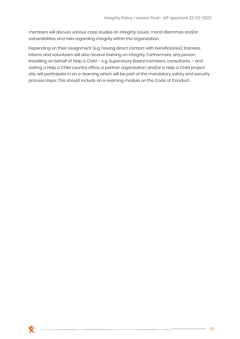members will discuss various case studies on integrity issues, moral dilemmas and/or vulnerabilities and risks regarding integrity within the organization.

Depending on their assignment (e.g. having direct contact with beneficiaries), trainees, interns and volunteers will also receive training on integrity. Furthermore, any person travelling on behalf of Help a Child – e.g. Supervisory Board members, consultants – and visiting a Help a Child country office, a partner organization, and/or a Help a Child project site, will participate in an e-learning which will be part of the mandatory safety and security process steps. This should include an e-learning module on the Code of Conduct.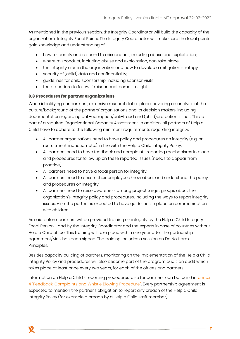As mentioned in the previous section, the Integrity Coordinator will build the capacity of the organization's Integrity Focal Points. The Integrity Coordinator will make sure the focal points gain knowledge and understanding of:

- how to identify and respond to misconduct, including abuse and exploitation;
- where misconduct, including abuse and exploitation, can take place;
- the integrity risks in the organization and how to develop a mitigation strategy;
- security of (child) data and confidentiality;
- guidelines for child sponsorship, including sponsor visits;
- the procedure to follow if misconduct comes to light.

#### <span id="page-10-0"></span>3.3 Procedures for partner organizations

When identifying our partners, extensive research takes place, covering an analysis of the culture/background of the partners' organizations and its decision makers, including documentation regarding anti-corruption/anti-fraud and (child)protection issues. This is part of a required Organizational Capacity Assessment. In addition, all partners of Help a Child have to adhere to the following minimum requirements regarding integrity:

- All partner organizations need to have policy and procedures on integrity (e.g. on recruitment, induction, etc.) in line with the Help a Child Integrity Policy.
- All partners need to have feedback and complaints reporting mechanisms in place and procedures for follow up on these reported issues (needs to appear from practice).
- All partners need to have a focal person for integrity.
- All partners need to ensure their employees know about and understand the policy and procedures on integrity.
- All partners need to raise awareness among project target groups about their organization's integrity policy and procedures, including the ways to report integrity issues. Also, the partner is expected to have guidelines in place on communication with children.

As said before, partners will be provided training on integrity by the Help a Child Integrity Focal Person - and by the Integrity Coordinator and the experts in case of countries without Help a Child office. This training will take place within one year after the partnership agreement/MoU has been signed. The training includes a session on Do No Harm Principles.

Besides capacity building of partners, monitoring on the implementation of the Help a Child Integrity Policy and procedures will also become part of the program audit, an audit which takes place at least once every two years, for each of the offices and partners.

Information on Help a Child's reporting procedures, also for partners, can be found in annex 4 "Feedback, Complaints and Whistle Blowing Procedure". Every partnership agreement is expected to mention the partner's obligation to report any breach of the Help a Child Integrity Policy (for example a breach by a Help a Child staff member).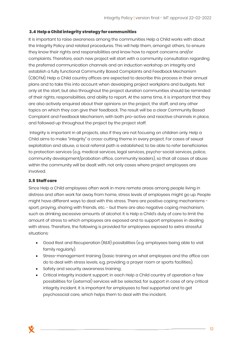#### <span id="page-11-0"></span>3.4 Help a Child integrity strategy for communities

It is important to raise awareness among the communities Help a Child works with about the Integrity Policy and related procedures. This will help them, amongst others, to ensure they know their rights and responsibilities and know how to report concerns and/or complaints. Therefore, each new project will start with a community consultation regarding the preferred communication channels and an induction workshop on integrity and establish a fully functional Community Based Complaints and Feedback Mechanism (CBCFM). Help a Child country offices are expected to describe this process in their annual plans and to take this into account when developing project workplans and budgets. Not only at the start, but also throughout the project duration communities should be reminded of their rights, responsibilities, and ability to report. At the same time, it is important that they are also actively enquired about their opinions on the project, the staff, and any other topics on which they can give their feedback. The result will be a clear Community Based Complaint and Feedback Mechanism, with both pro-active and reactive channels in place, and followed up throughout the project by the project staff.

Integrity is important in all projects, also if they are not focusing on children only. Help a Child aims to make "integrity" a cross-cutting theme in every project. For cases of sexual exploitation and abuse, a local referral path is established, to be able to refer beneficiaries to protection services (e.g. medical services, legal services, psycho-social services, police, community development/probation office, community leaders), so that all cases of abuse within the community will be dealt with, not only cases where project employees are involved.

#### <span id="page-11-1"></span>3.5 Staff care

Since Help a Child employees often work in more remote areas among people living in distress and often work far away from home, stress levels of employees might go up. People might have different ways to deal with this stress. There are positive coping mechanisms sport, praying, sharing with friends, etc. - but there are also negative coping mechanism, such as drinking excessive amounts of alcohol. It is Help a Child's duty of care to limit the amount of stress to which employees are exposed and to support employees in dealing with stress. Therefore, the following is provided for employees exposed to extra stressful situations:

- Good Rest and Recuperation (R&R) possibilities (e.g. employees being able to visit family regularly).
- Stress-management training (basic training on what employees and the office can do to deal with stress levels, e.g. providing a prayer room or sports facilities).
- Safety and security awareness training;
- Critical integrity incident support: in each Help a Child country of operation a few possibilities for (external) services will be selected, for support in case of any critical integrity incident. It is important for employees to feel supported and to get psychosocial care, which helps them to deal with the incident.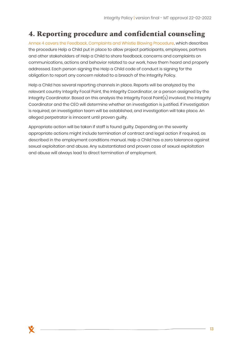## <span id="page-12-0"></span>**4. Reporting procedure and confidential counseling**

Annex 4 covers the Feedback, Complaints and Whistle Blowing Procedure, which describes the procedure Help a Child put in place to allow project participants, employees, partners and other stakeholders of Help a Child to share feedback, concerns and complaints on communications, actions and behavior related to our work, have them heard and properly addressed. Each person signing the Help a Child code of conduct is signing for the obligation to report any concern related to a breach of the Integrity Policy.

Help a Child has several reporting channels in place. Reports will be analyzed by the relevant country Integrity Focal Point, the Integrity Coordinator, or a person assigned by the Integrity Coordinator. Based on this analysis the Integrity Focal Point(s) involved, the Integrity Coordinator and the CEO will determine whether an investigation is justified. If investigation is required, an investigation team will be established, and investigation will take place. An alleged perpetrator is innocent until proven guilty.

Appropriate action will be taken if staff is found guilty. Depending on the severity appropriate actions might include termination of contract and legal action if required, as described in the employment conditions manual. Help a Child has a zero tolerance against sexual exploitation and abuse. Any substantiated and proven case of sexual exploitation and abuse will always lead to direct termination of employment.